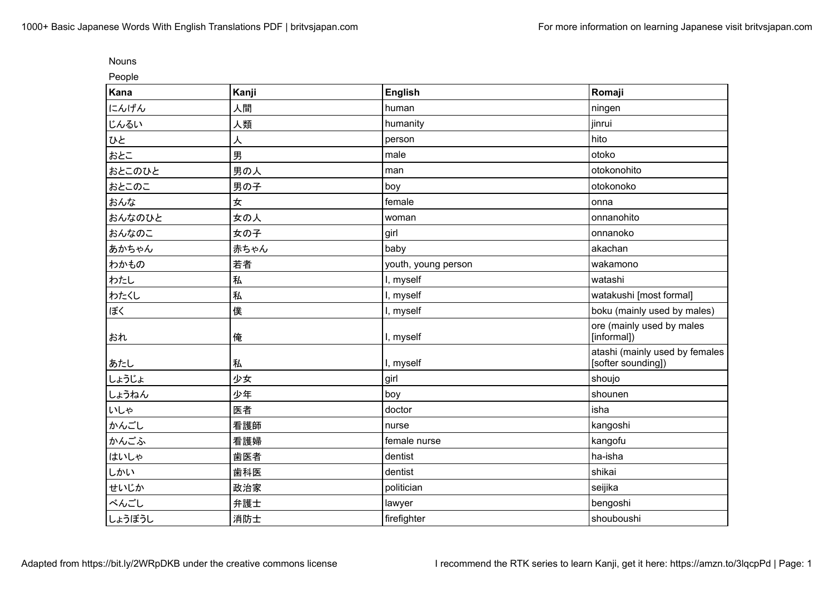| r<br>۱.<br><br>× |  |
|------------------|--|
|                  |  |

People

| $\sim$ $\sim$ $\sim$<br>Kana | Kanji | <b>English</b>      | Romaji                                               |
|------------------------------|-------|---------------------|------------------------------------------------------|
| にんげん                         | 人間    | human               | ningen                                               |
| じんるい                         | 人類    | humanity            | jinrui                                               |
| ひと                           | 人     | person              | hito                                                 |
| おとこ                          | 男     | male                | otoko                                                |
| おとこのひと                       | 男の人   | man                 | otokonohito                                          |
| おとこのこ                        | 男の子   | boy                 | otokonoko                                            |
| おんな                          | 女     | female              | onna                                                 |
| おんなのひと                       | 女の人   | woman               | onnanohito                                           |
| おんなのこ                        | 女の子   | girl                | onnanoko                                             |
| あかちゃん                        | 赤ちゃん  | baby                | akachan                                              |
| わかもの                         | 若者    | youth, young person | wakamono                                             |
| わたし                          | 私     | I, myself           | watashi                                              |
| わたくし                         | 私     | I, myself           | watakushi [most formal]                              |
| ぼく                           | 僕     | I, myself           | boku (mainly used by males)                          |
| おれ                           | 俺     | I, myself           | ore (mainly used by males<br>[informal])             |
| あたし                          | 私     | I, myself           | atashi (mainly used by females<br>[softer sounding]) |
| しょうじょ                        | 少女    | girl                | shoujo                                               |
| しょうねん                        | 少年    | boy                 | shounen                                              |
| いしゃ                          | 医者    | doctor              | isha                                                 |
| かんごし                         | 看護師   | nurse               | kangoshi                                             |
| かんごふ                         | 看護婦   | female nurse        | kangofu                                              |
| はいしゃ                         | 歯医者   | dentist             | ha-isha                                              |
| しかい                          | 歯科医   | dentist             | shikai                                               |
| せいじか                         | 政治家   | politician          | seijika                                              |
| べんごし                         | 弁護士   | lawyer              | bengoshi                                             |
| しょうぼうし                       | 消防士   | firefighter         | shouboushi                                           |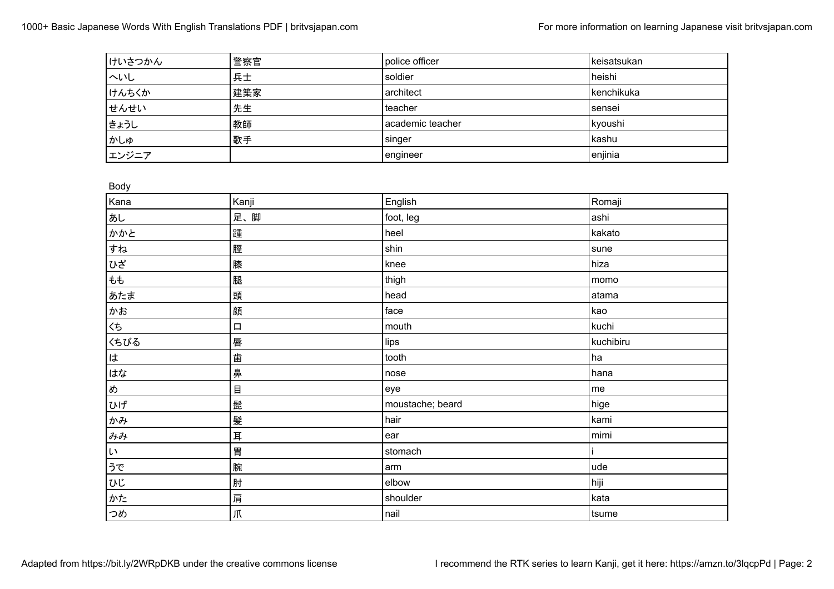| けいさつかん | 警察官 | police officer     | keisatsukan |
|--------|-----|--------------------|-------------|
| へいし    | 兵士  | soldier            | heishi      |
| けんちくか  | 建築家 | architect          | kenchikuka  |
| せんせい   | 先生  | teacher            | sensei      |
| まょうし   | 教師  | l academic teacher | kyoushi     |
| かしゅ    | 歌手  | singer             | l kashu     |
| エンジニア  |     | engineer           | enjinia     |

Body

| ---,                |        |                  |           |
|---------------------|--------|------------------|-----------|
| Kana                | Kanji  | English          | Romaji    |
| あし                  | 足、脚    | foot, leg        | ashi      |
| かかと                 | 踵      | heel             | kakato    |
| すね                  | 脛      | shin             | sune      |
| ひざ                  | 膝      | knee             | hiza      |
| もも                  | 腿      | thigh            | momo      |
| あたま                 | 頭      | head             | atama     |
| かお                  | 顔      | face             | kao       |
| くち                  | $\Box$ | mouth            | kuchi     |
| くちびる                | 唇      | lips             | kuchibiru |
| は                   | 歯      | tooth            | ha        |
| はな                  | 鼻      | nose             | hana      |
| め                   | 目      | eye              | $me$      |
| ひげ                  | 髭      | moustache; beard | hige      |
| かみ                  | 髪      | hair             | kami      |
| みみ                  | 耳      | ear              | mimi      |
| $\mathsf{L}^{\chi}$ | 胃      | stomach          |           |
| うで                  | 腕      | arm              | ude       |
| ひじ                  | 肘      | elbow            | hiji      |
| かた                  | 肩      | shoulder         | kata      |
| つめ                  | 爪      | nail             | tsume     |
|                     |        |                  |           |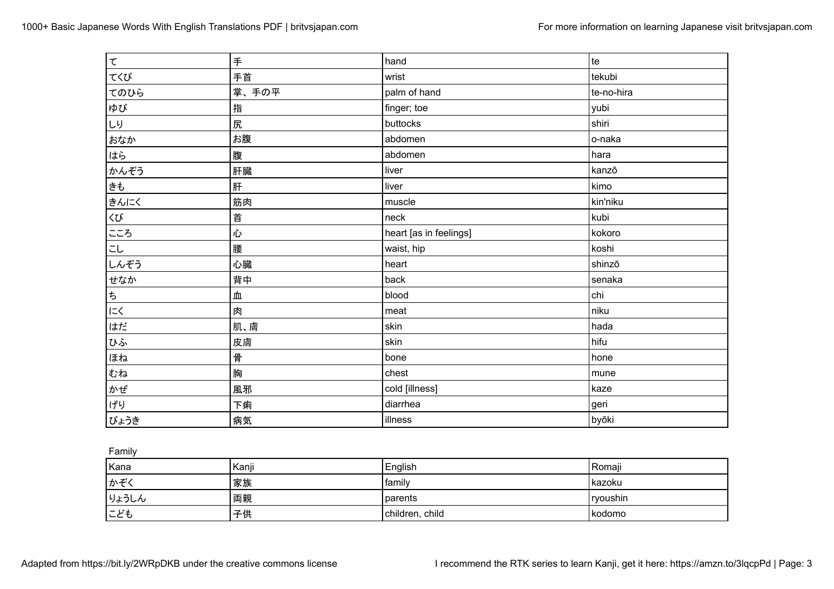| て                                            | 手     | hand                   | te         |
|----------------------------------------------|-------|------------------------|------------|
| てくび                                          | 手首    | wrist                  | tekubi     |
| てのひら                                         | 掌、手の平 | palm of hand           | te-no-hira |
| ゆび                                           | 指     | finger; toe            | yubi       |
| しり                                           | 尻     | buttocks               | shiri      |
| おなか                                          | お腹    | abdomen                | o-naka     |
| はら                                           | 腹     | abdomen                | hara       |
| かんぞう                                         | 肝臓    | liver                  | kanzō      |
| きも                                           | 肝     | liver                  | kimo       |
| きんにく                                         | 筋肉    | muscle                 | kin'niku   |
| くび                                           | 首     | neck                   | kubi       |
| こころ                                          | 心     | heart [as in feelings] | kokoro     |
| こし                                           | 腰     | waist, hip             | koshi      |
| しんぞう                                         | 心臓    | heart                  | shinzō     |
| せなか                                          | 背中    | back                   | senaka     |
| $\ensuremath{\mathop{\not\!\!{E}}\nolimits}$ | 血     | blood                  | chi        |
| にく                                           | 肉     | meat                   | niku       |
| はだ                                           | 肌、膚   | skin                   | hada       |
| ひふ                                           | 皮膚    | skin                   | hifu       |
| ほね                                           | 骨     | bone                   | hone       |
| むね                                           | 胸     | chest                  | mune       |
| かぜ                                           | 風邪    | cold [illness]         | kaze       |
| げり                                           | 下痢    | diarrhea               | geri       |
| びょうき                                         | 病気    | illness                | byōki      |

Family

| Kana  | Kanji | English         | Romaji   |
|-------|-------|-----------------|----------|
| かぞく   | 家族    | family          | kazoku   |
| りょうしん | 両親    | parents         | ryoushin |
| こども   | 子供    | children, child | l kodomo |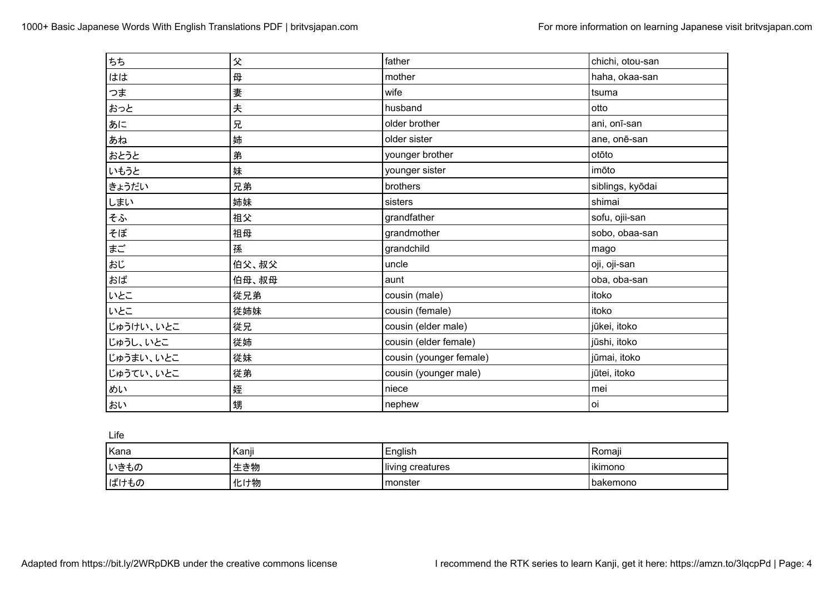| ちち        | 父     | father                  | chichi, otou-san |
|-----------|-------|-------------------------|------------------|
| はは        | 母     | mother                  | haha, okaa-san   |
| つま        | 妻     | wife                    | Itsuma           |
| おっと       | 夫     | husband                 | otto             |
| あに        | 兄     | older brother           | ani, onī-san     |
| あね        | 姉     | older sister            | ane, onē-san     |
| おとうと      | 弟     | younger brother         | otōto            |
| いもうと      | 妹     | younger sister          | imōto            |
| きょうだい     | 兄弟    | brothers                | siblings, kyōdai |
| しまい       | 姉妹    | sisters                 | shimai           |
| そふ        | 祖父    | grandfather             | sofu, ojii-san   |
| そぼ        | 祖母    | grandmother             | sobo, obaa-san   |
| まご        | 孫     | grandchild              | mago             |
| おじ        | 伯父、叔父 | uncle                   | oji, oji-san     |
| おば        | 伯母、叔母 | aunt                    | oba, oba-san     |
| いとこ       | 従兄弟   | cousin (male)           | itoko            |
| いとこ       | 従姉妹   | cousin (female)         | itoko            |
| じゅうけい、いとこ | 従兄    | cousin (elder male)     | jūkei, itoko     |
| じゅうし、いとこ  | 従姉    | cousin (elder female)   | jūshi, itoko     |
| じゅうまい、いとこ | 従妹    | cousin (younger female) | jūmai, itoko     |
| じゅうてい、いとこ | 従弟    | cousin (younger male)   | jūtei, itoko     |
| めい        | 姪     | niece                   | mei              |
| おい        | 甥     | nephew                  | oi               |

Life

| Kana | Kanji | English          | Romaii     |
|------|-------|------------------|------------|
| いきもの | 生き物   | living creatures | ikimono    |
| ばけもの | 化け物   | monster          | l bakemono |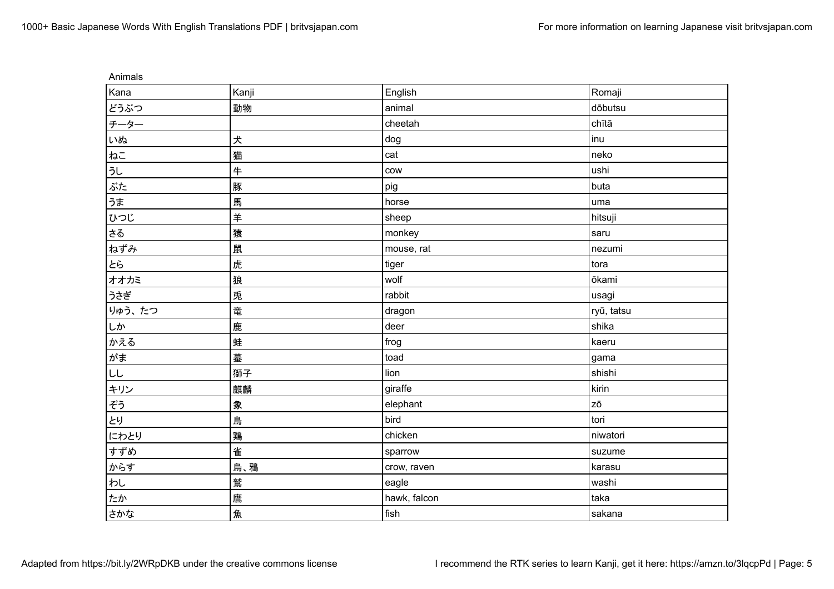| Animals |              |              |            |
|---------|--------------|--------------|------------|
| Kana    | Kanji        | English      | Romaji     |
| どうぶつ    | 動物           | animal       | dōbutsu    |
| チーター    |              | cheetah      | chītā      |
| いぬ      | 犬            | dog          | inu        |
| ねこ      | 猫            | cat          | neko       |
| うし      | $\ddagger$   | cow          | ushi       |
| ぶた      | 豚            | pig          | buta       |
| うま      | 馬            | horse        | uma        |
| ひつじ     | $\ddot{\mp}$ | sheep        | hitsuji    |
| さる      | 猿            | monkey       | saru       |
| ねずみ     | 鼠            | mouse, rat   | nezumi     |
| とら      | 虎            | tiger        | tora       |
| オオカミ    | 狼            | wolf         | ōkami      |
| うさぎ     | 兎            | rabbit       | usagi      |
| りゅう、たつ  | 竜            | dragon       | ryū, tatsu |
| しか      | 鹿            | deer         | shika      |
| かえる     | 蛙            | frog         | kaeru      |
| がま      | 蟇            | toad         | gama       |
| LL      | 獅子           | lion         | shishi     |
| キリン     | 麒麟           | giraffe      | kirin      |
| ぞう      | 象            | elephant     | zō         |
| とり      | 鳥            | bird         | tori       |
| にわとり    | 鶏            | chicken      | niwatori   |
| すずめ     | 雀            | sparrow      | suzume     |
| からす     | 烏、鴉          | crow, raven  | karasu     |
| わし      | 鷲            | eagle        | washi      |
| たか      | 鷹            | hawk, falcon | taka       |
| さかな     | 魚            | fish         | sakana     |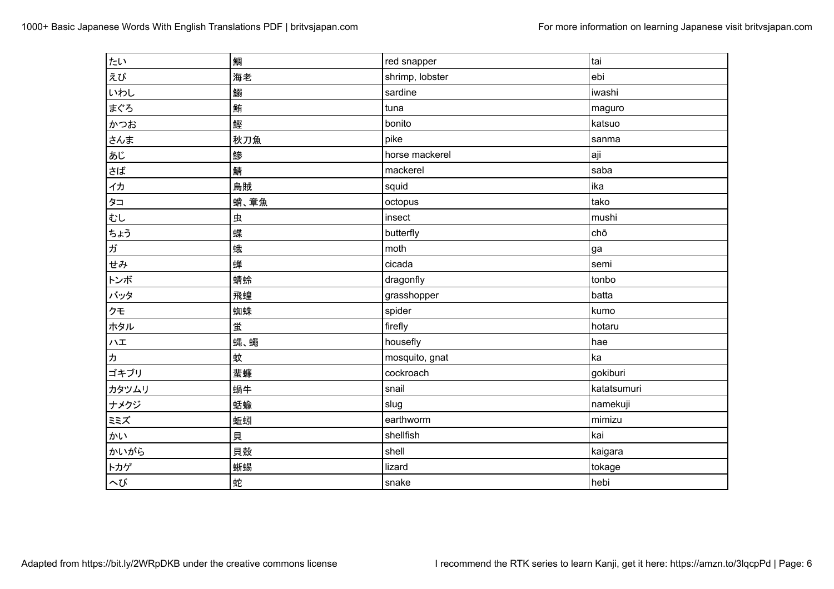| たい                                                                        | 鯛    | red snapper     | tai         |
|---------------------------------------------------------------------------|------|-----------------|-------------|
| えび                                                                        | 海老   | shrimp, lobster | ebi         |
| いわし                                                                       | 鰯    | sardine         | iwashi      |
| まぐろ                                                                       | 鮪    | tuna            | maguro      |
| かつお                                                                       | 鰹    | bonito          | katsuo      |
| さんま                                                                       | 秋刀魚  | pike            | sanma       |
| あじ                                                                        | 鰺    | horse mackerel  | aji         |
| $\boxed{\begin{aligned} \frac{1}{2} \mathbf{1} \mathbf{2} \end{aligned}}$ | 鯖    | mackerel        | saba        |
| イカ                                                                        | 烏賊   | squid           | ika         |
| タコ                                                                        | 蛸、章魚 | octopus         | tako        |
| むし                                                                        | 虫    | insect          | mushi       |
| ちょう                                                                       | 蝶    | butterfly       | chō         |
| ガ                                                                         | 蛾    | moth            | ga          |
| せみ                                                                        | 蝉    | cicada          | semi        |
| トンボ                                                                       | 蜻蛉   | dragonfly       | tonbo       |
| バッタ                                                                       | 飛蝗   | grasshopper     | batta       |
| クモ                                                                        | 蜘蛛   | spider          | kumo        |
| ホタル                                                                       | 蛍    | firefly         | hotaru      |
| ハエ                                                                        | 蝿、蠅  | housefly        | hae         |
| $\sqrt{2}$                                                                | 蚊    | mosquito, gnat  | ka          |
| ゴキブリ                                                                      | 蜚蠊   | cockroach       | gokiburi    |
| カタツムリ                                                                     | 蝸牛   | snail           | katatsumuri |
| ナメクジ                                                                      | 蛞蝓   | slug            | namekuji    |
| ミミズ                                                                       | 蚯蚓   | earthworm       | mimizu      |
| かい                                                                        | 貝    | shellfish       | kai         |
| かいがら                                                                      | 貝殻   | shell           | kaigara     |
| トカゲ                                                                       | 蜥蜴   | lizard          | tokage      |
| へび                                                                        | 蛇    | snake           | hebi        |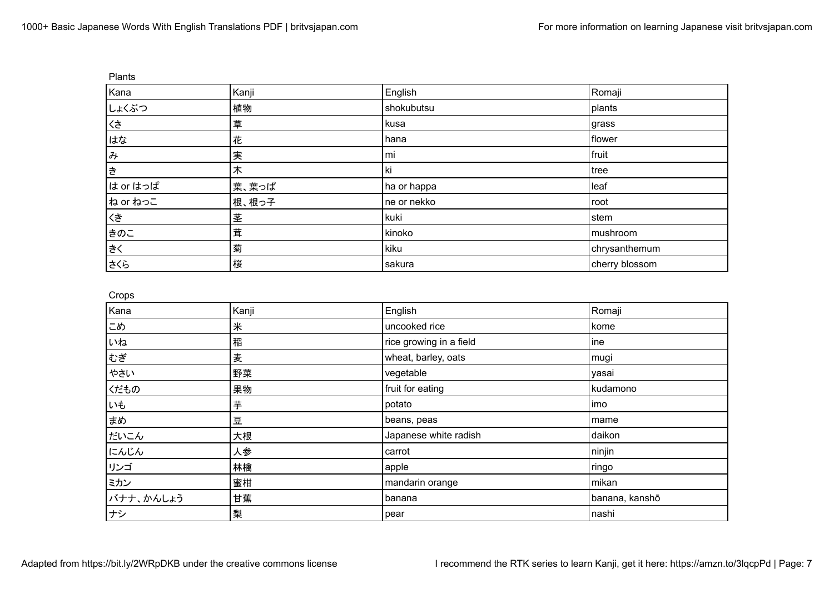| Plants     |       |             |                |
|------------|-------|-------------|----------------|
| Kana       | Kanji | English     | Romaji         |
| しょくぶつ      | 植物    | shokubutsu  | plants         |
| くさ         | 草     | kusa        | grass          |
| はな         | 花     | hana        | flower         |
| $\partial$ | 実     | mi          | fruit          |
| き          | 木     | ki          | tree           |
| は or はっぱ   | 葉、葉っぱ | ha or happa | leaf           |
| ね or ねっこ   | 根、根っ子 | ne or nekko | root           |
| くき         | 茎     | kuki        | stem           |
| きのこ        | 茸     | kinoko      | mushroom       |
| ∤きく        | 菊     | kiku        | chrysanthemum  |
| まくら        | 桜     | sakura      | cherry blossom |

Crops

| o que     |       |                         |                |
|-----------|-------|-------------------------|----------------|
| Kana      | Kanji | English                 | Romaji         |
| こめ        | 米     | uncooked rice           | kome           |
| いね        | 稲     | rice growing in a field | ine            |
| むぎ        | 麦     | wheat, barley, oats     | mugi           |
| やさい       | 野菜    | vegetable               | yasai          |
| くだもの      | 果物    | fruit for eating        | kudamono       |
| いも        | 芋     | potato                  | imo            |
| まめ        | 豆     | beans, peas             | mame           |
| だいこん      | 大根    | Japanese white radish   | daikon         |
| にんじん      | 人参    | carrot                  | ninjin         |
| リンゴ       | 林檎    | apple                   | ringo          |
| ミカン       | 蜜柑    | mandarin orange         | mikan          |
| バナナ、かんしょう | 甘蕉    | banana                  | banana, kanshō |
| ナシ        | 梨     | pear                    | nashi          |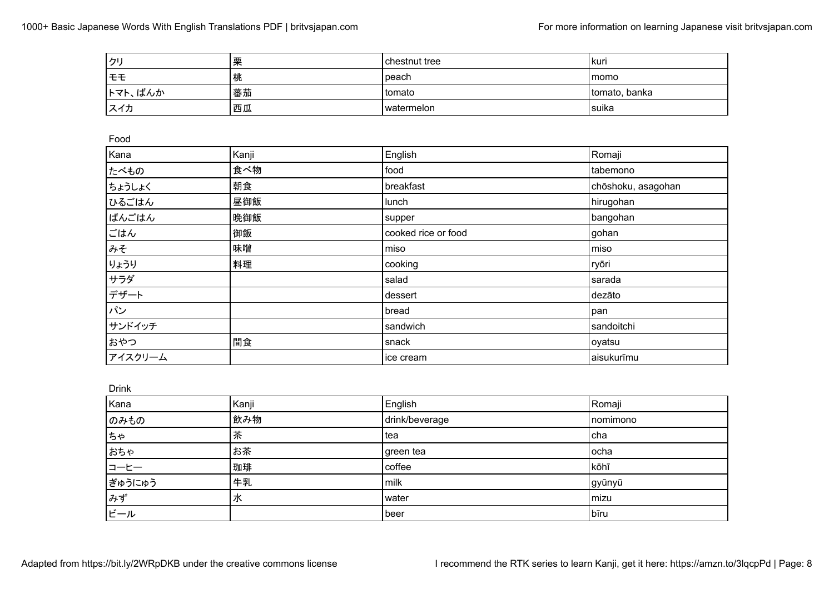| クリ      | 栗     | chestnut tree       | kuri               |
|---------|-------|---------------------|--------------------|
| モモ      | 桃     | peach               | momo               |
| トマト、ばんか | 蕃茄    | tomato              | tomato, banka      |
| スイカ     | 西瓜    | watermelon          | suika              |
|         |       |                     |                    |
| Food    |       |                     |                    |
| Kana    | Kanji | English             | Romaji             |
| たべもの    | 食べ物   | food                | tabemono           |
| ちょうしょく  | 朝食    | breakfast           | chōshoku, asagohan |
| ひるごはん   | 昼御飯   | lunch               | hirugohan          |
| ばんごはん   | 晩御飯   | supper              | bangohan           |
| ごはん     | 御飯    | cooked rice or food | gohan              |
| みそ      | 味噌    | miso                | miso               |
| りょうり    | 料理    | cooking             | ryōri              |
| サラダ     |       | salad               | sarada             |
| デザート    |       | dessert             | dezāto             |
| パン      |       | bread               | pan                |
| サンドイッチ  |       | sandwich            | sandoitchi         |
| おやつ     | 間食    | snack               | oyatsu             |
| アイスクリーム |       | ice cream           | aisukurīmu         |

Drink

|        | -     |                |          |
|--------|-------|----------------|----------|
| Kana   | Kanji | English        | Romaji   |
| のみもの   | 飲み物   | drink/beverage | nomimono |
| ちゃ     | 茶     | tea            | cha      |
| おちゃ    | お茶    | green tea      | ocha     |
| コーヒー   | 珈琲    | coffee         | kōhī     |
| ぎゅうにゅう | 牛乳    | milk           | gyūnyū   |
| みず     | 水     | water          | mizu     |
| ビール    |       | beer           | bīru     |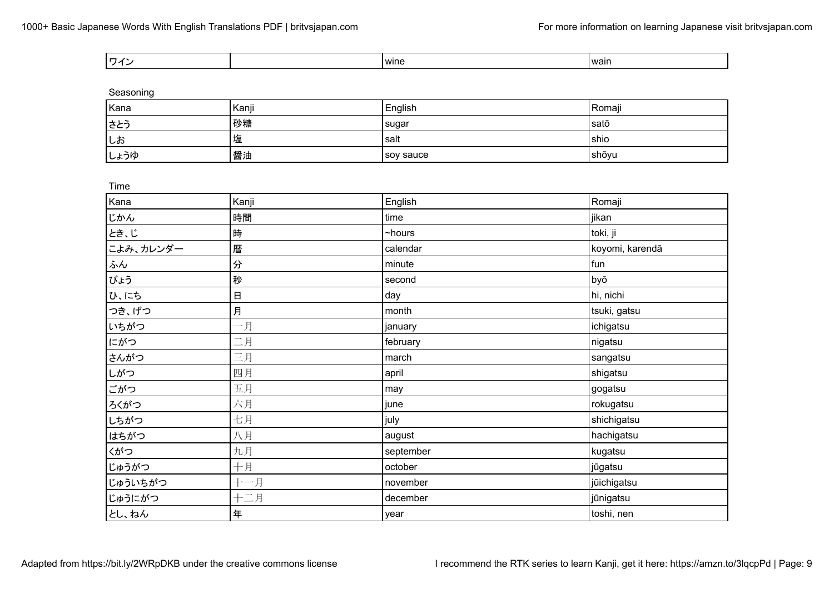| wine |  | wain |
|------|--|------|
|------|--|------|

Seasoning

| Kana | Kanji | English   | Romaji |
|------|-------|-----------|--------|
| さとう  | 砂糖    | sugar     | satō   |
| しお   | 塩     | salt      | l shio |
| しょうゆ | 醤油    | soy sauce | shōyu  |

| Time      |             |              |                 |
|-----------|-------------|--------------|-----------------|
| Kana      | Kanji       | English      | Romaji          |
| じかん       | 時間          | time         | jikan           |
| とき、じ      | 時           | $\sim$ hours | toki, ji        |
| こよみ、カレンダー | 暦           | calendar     | koyomi, karendā |
| ふん        | 分           | minute       | fun             |
| びょう       | 秒           | second       | byō             |
| ひ、にち      | $\boxminus$ | day          | hi, nichi       |
| つき、げつ     | 月           | month        | tsuki, gatsu    |
| いちがつ      | 一月          | january      | ichigatsu       |
| にがつ       | 二月          | february     | nigatsu         |
| さんがつ      | 三月          | march        | sangatsu        |
| しがつ       | 四月          | april        | shigatsu        |
| ごがつ       | 五月          | may          | gogatsu         |
| ろくがつ      | 六月          | june         | rokugatsu       |
| しちがつ      | 七月          | july         | shichigatsu     |
| はちがつ      | 八月          | august       | hachigatsu      |
| くがつ       | 九月          | september    | kugatsu         |
| じゅうがつ     | 十月          | october      | jūgatsu         |
| じゅういちがつ   | 十一月         | november     | jūichigatsu     |
| じゅうにがつ    | 十二月         | december     | jūnigatsu       |
| とし、ねん     | 年           | year         | toshi, nen      |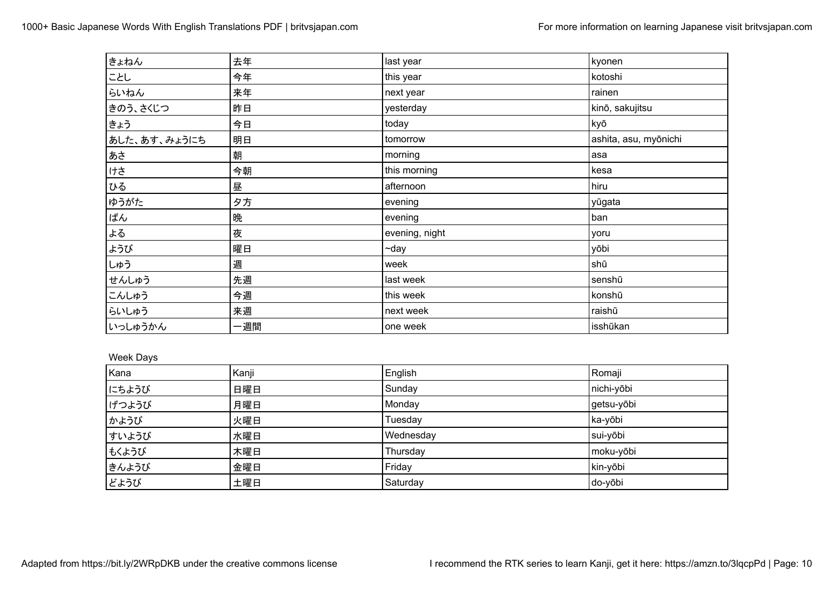| きょねん         | 去年  | last year      | kyonen                |
|--------------|-----|----------------|-----------------------|
| にとし          | 今年  | this year      | kotoshi               |
| らいねん         | 来年  | next year      | rainen                |
| きのう、さくじつ     | 昨日  | yesterday      | kinō, sakujitsu       |
| まょう          | 今日  | today          | kyō                   |
| あした、あす、みょうにち | 明日  | tomorrow       | ashita, asu, myōnichi |
| ∤あさ          | 朝   | morning        | asa                   |
| けさ           | 今朝  | this morning   | kesa                  |
| ひる           | 昼   | afternoon      | hiru                  |
| ゆうがた         | 夕方  | evening        | yūgata                |
| ぱん           | 晩   | evening        | ban                   |
| よる           | 夜   | evening, night | yoru                  |
| ようび          | 曜日  | $\neg$ day     | yōbi                  |
| しゅう          | 週   | week           | shū                   |
| せんしゅう        | 先週  | last week      | senshū                |
| こんしゅう        | 今週  | this week      | konshū                |
| らいしゅう        | 来週  | next week      | raishū                |
| いっしゅうかん      | 一週間 | one week       | isshūkan              |

### Week Days

| Kana  | Kanji | English   | Romaji     |
|-------|-------|-----------|------------|
| にちようび | 日曜日   | Sunday    | nichi-yōbi |
| げつようび | 月曜日   | Monday    | getsu-yōbi |
| かようび  | 火曜日   | Tuesday   | ka-yōbi    |
| すいようび | 水曜日   | Wednesday | sui-yōbi   |
| もくようび | 木曜日   | Thursday  | moku-yōbi  |
| きんようび | 金曜日   | Friday    | kin-yōbi   |
| どようび  | 土曜日   | Saturday  | do-yōbi    |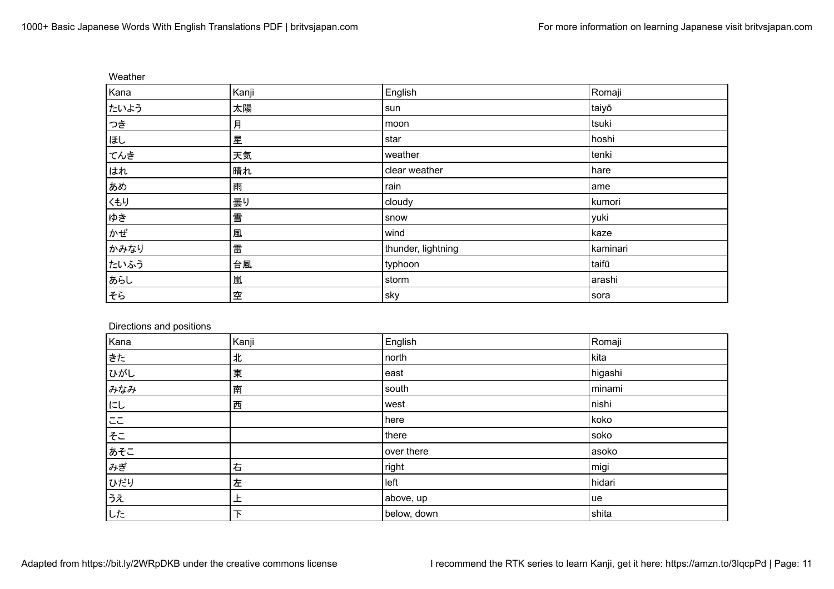| Weather |       |                    |          |
|---------|-------|--------------------|----------|
| Kana    | Kanji | English            | Romaji   |
| たいよう    | 太陽    | sun                | taiyō    |
| つき      | 月     | moon               | tsuki    |
| ほし      | 星     | star               | hoshi    |
| てんき     | 天気    | weather            | tenki    |
| はれ      | 晴れ    | clear weather      | hare     |
| あめ      | 雨     | rain               | ame      |
| くもり     | 曇り    | cloudy             | kumori   |
| ゆき      | 雪     | snow               | yuki     |
| かぜ      | 風     | wind               | kaze     |
| かみなり    | 雷     | thunder, lightning | kaminari |
| たいふう    | 台風    | typhoon            | taifū    |
| あらし     | 嵐     | storm              | arashi   |
| そら      | 空     | Sky                | sora     |

## Directions and positions

| Kana    | Kanji | English     | Romaji  |
|---------|-------|-------------|---------|
| きた      | 北     | north       | kita    |
| ひがし     | 東     | east        | higashi |
| みなみ     | 南     | south       | minami  |
| にし      | 西     | west        | nishi   |
| $=$ $=$ |       | here        | koko    |
| そこ      |       | there       | soko    |
| あそこ     |       | over there  | asoko   |
| みぎ      | 右     | right       | migi    |
| ひだり     | 左     | left        | hidari  |
| うえ      | 上     | above, up   | ue      |
| した      | 下     | below, down | shita   |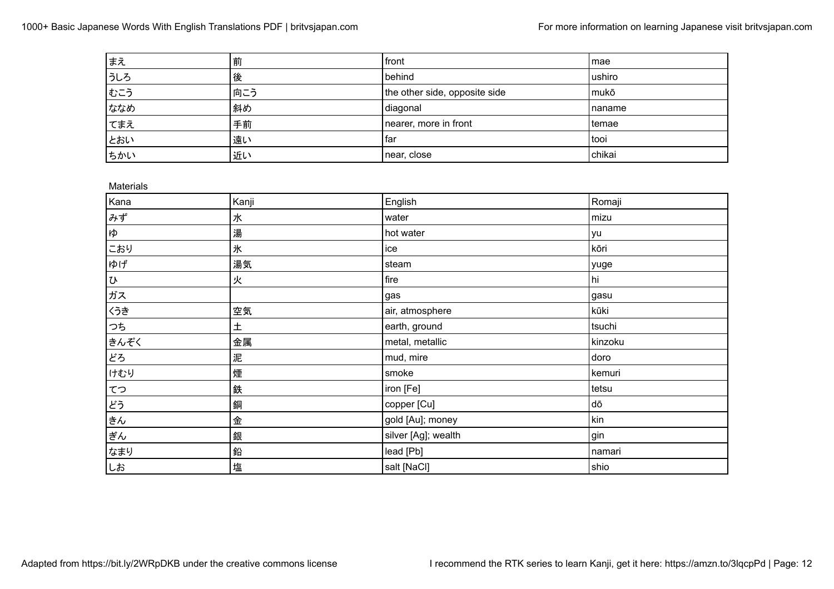| まえ  | 前   | front                         | l mae   |
|-----|-----|-------------------------------|---------|
| うしろ | 後   | behind                        | ushiro  |
| もこう | 向こう | the other side, opposite side | mukō    |
| ななめ | 斜め  | diagonal                      | Inaname |
| てまえ | 手前  | nearer, more in front         | l temae |
| とおい | 遠い  | far                           | tooi    |
| ちかい | 近い  | near, close                   | chikai  |

Materials

| Kanji | English             | Romaji    |
|-------|---------------------|-----------|
| 水     | water               | mizu      |
| 湯     | hot water           | <b>yu</b> |
| 氷     | ice                 | kōri      |
| 湯気    | steam               | yuge      |
| 火     | fire                | hi        |
|       | gas                 | gasu      |
| 空気    | air, atmosphere     | kūki      |
| 土     | earth, ground       | tsuchi    |
| 金属    | metal, metallic     | kinzoku   |
| 泥     | mud, mire           | doro      |
| 煙     | smoke               | kemuri    |
| 鉄     | iron [Fe]           | tetsu     |
| 銅     | copper [Cu]         | dō        |
| 金     | gold [Au]; money    | kin       |
| 銀     | silver [Ag]; wealth | gin       |
| 鉛     | lead [Pb]           | namari    |
| 塩     | salt [NaCl]         | shio      |
|       |                     |           |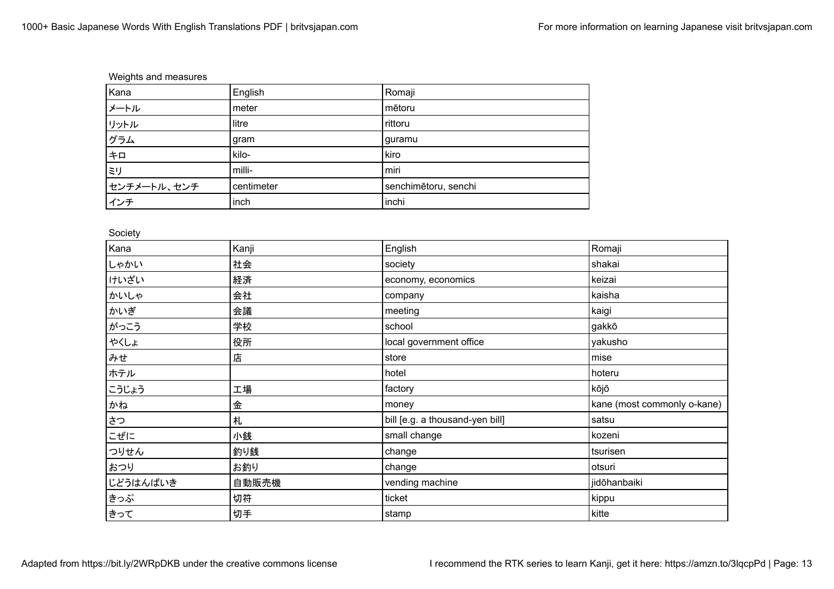# Weights and measures

| Kana        | English    | Romaji               |
|-------------|------------|----------------------|
| メートル        | meter      | mētoru               |
| リットル        | litre      | rittoru              |
| グラム         | gram       | guramu               |
| キロ          | kilo-      | kiro                 |
| ミリ          | milli-     | miri                 |
| センチメートル、センチ | centimeter | senchimētoru, senchi |
| インチ         | linch      | inchi                |

#### Society

| Kana     | Kanji | English                         | Romaji                      |
|----------|-------|---------------------------------|-----------------------------|
| しゃかい     | 社会    | society                         | shakai                      |
| けいざい     | 経済    | economy, economics              | keizai                      |
| かいしゃ     | 会社    | company                         | kaisha                      |
| かいぎ      | 会議    | meeting                         | kaigi                       |
| がっこう     | 学校    | school                          | gakkō                       |
| やくしょ     | 役所    | local government office         | yakusho                     |
| みせ       | 店     | store                           | mise                        |
| ホテル      |       | hotel                           | hoteru                      |
| こうじょう    | 工場    | factory                         | kōjō                        |
| かね       | 金     | money                           | kane (most commonly o-kane) |
| さつ       | 札     | bill [e.g. a thousand-yen bill] | satsu                       |
| こぜに      | 小銭    | small change                    | kozeni                      |
| つりせん     | 釣り銭   | change                          | tsurisen                    |
| おつり      | お釣り   | change                          | otsuri                      |
| じどうはんばいき | 自動販売機 | vending machine                 | jidōhanbaiki                |
| きっぷ      | 切符    | ticket                          | kippu                       |
| ∤きって     | 切手    | stamp                           | kitte                       |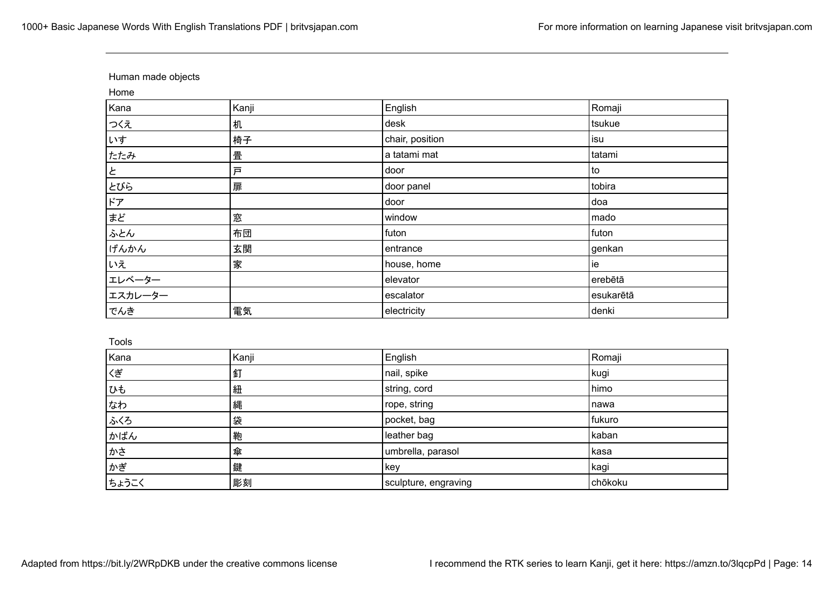# Human made objects

Home

| Kana    | Kanji | English         | Romaji    |
|---------|-------|-----------------|-----------|
| つくえ     | 机     | desk            | tsukue    |
| いす      | 椅子    | chair, position | isu       |
| たたみ     | 畳     | a tatami mat    | tatami    |
| と       | 戸     | door            | to        |
| とびら     | 扉     | door panel      | tobira    |
| ドア      |       | door            | doa       |
| まど      | 窓     | window          | mado      |
| ふとん     | 布団    | futon           | futon     |
| げんかん    | 玄関    | entrance        | genkan    |
| いえ      | 家     | house, home     | ie        |
| エレベーター  |       | elevator        | erebētā   |
| エスカレーター |       | escalator       | esukarētā |
| でんき     | 電気    | electricity     | denki     |

Tools

| Kana  | Kanji | English              | Romaji  |
|-------|-------|----------------------|---------|
| くぎ    | 釘     | nail, spike          | kugi    |
| ひも    | 紐     | string, cord         | himo    |
| なわ    | 縄     | rope, string         | nawa    |
| ふくろ   | 袋     | pocket, bag          | fukuro  |
| かばん   | 鞄     | leather bag          | kaban   |
| かさ    | 傘     | umbrella, parasol    | kasa    |
| かぎ    | 鍵     | key                  | kagi    |
| ちょうこく | 彫刻    | sculpture, engraving | chōkoku |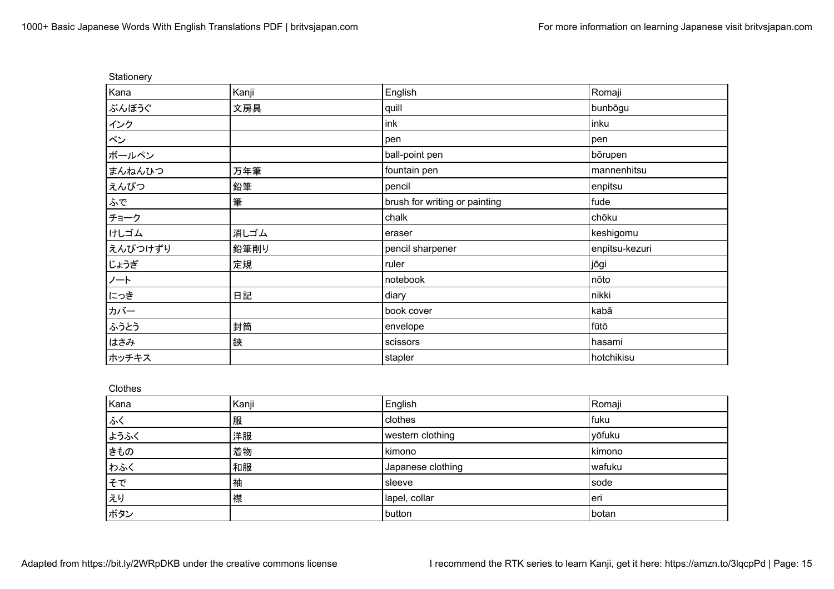| Stationery |       |                               |                |
|------------|-------|-------------------------------|----------------|
| Kana       | Kanji | English                       | Romaji         |
| ぶんぼうぐ      | 文房具   | quill                         | bunbōgu        |
| インク        |       | ink                           | inku           |
| ペン         |       | pen                           | pen            |
| ボールペン      |       | ball-point pen                | börupen        |
| まんねんひつ     | 万年筆   | fountain pen                  | mannenhitsu    |
| えんぴつ       | 鉛筆    | pencil                        | enpitsu        |
| ふで         | 筆     | brush for writing or painting | fude           |
| チョーク       |       | chalk                         | chōku          |
| けしゴム       | 消しゴム  | eraser                        | keshigomu      |
| えんぴつけずり    | 鉛筆削り  | pencil sharpener              | enpitsu-kezuri |
| じょうぎ       | 定規    | ruler                         | jōgi           |
| ノート        |       | notebook                      | nōto           |
| にっき        | 日記    | diary                         | nikki          |
| カバー        |       | book cover                    | kabā           |
| ふうとう       | 封筒    | envelope                      | tūtō           |
| はさみ        | 鋏     | scissors                      | hasami         |
| ホッチキス      |       | stapler                       | hotchikisu     |

Clothes

| Kana | Kanji | English           | Romaji |
|------|-------|-------------------|--------|
| ふく   | 服     | clothes           | fuku   |
| ようふく | 洋服    | western clothing  | yōfuku |
| きもの  | 着物    | kimono            | kimono |
| わふく  | 和服    | Japanese clothing | wafuku |
| そで   | 袖     | sleeve            | sode   |
| えり   | 襟     | lapel, collar     | eri    |
| ボタン  |       | button            | botan  |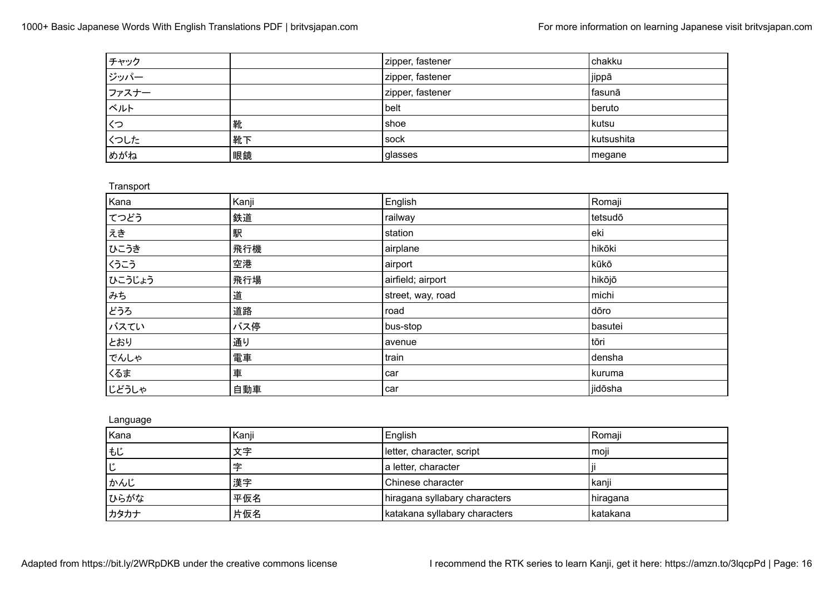| チャック  |    | zipper, fastener | chakku     |
|-------|----|------------------|------------|
| │ジッパー |    | zipper, fastener | jippā      |
| ファスナー |    | zipper, fastener | fasunā     |
| ベルト   |    | belt             | beruto     |
| くつ    | 靴  | I shoe           | l kutsu    |
| くつした  | 靴下 | <b>sock</b>      | kutsushita |
| めがね   | 眼鏡 | glasses          | megane     |

| Transport |       |                   |         |
|-----------|-------|-------------------|---------|
| Kana      | Kanji | English           | Romaji  |
| てつどう      | 鉄道    | railway           | tetsudō |
| えき        | 駅     | station           | eki     |
| ひこうき      | 飛行機   | airplane          | hikōki  |
| くうこう      | 空港    | airport           | kūkō    |
| ひこうじょう    | 飛行場   | airfield; airport | hikōjō  |
| みち        | 道     | street, way, road | michi   |
| どうろ       | 道路    | road              | dōro    |
| バスてい      | バス停   | bus-stop          | basutei |
| とおり       | 通り    | avenue            | tōri    |
| でんしゃ      | 電車    | train             | densha  |
| くるま       | 車     | car               | kuruma  |
| じどうしゃ     | 自動車   | car               | jidōsha |

Language

| Kana | Kanji | English                       | Romaji     |
|------|-------|-------------------------------|------------|
| もじ   | 文字    | letter, character, script     | moji       |
| ١ů   | 孛     | a letter, character           |            |
| かんじ  | 漢字    | Chinese character             | kanji      |
| ひらがな | 平仮名   | hiragana syllabary characters | hiragana   |
| カタカナ | 片仮名   | katakana syllabary characters | l katakana |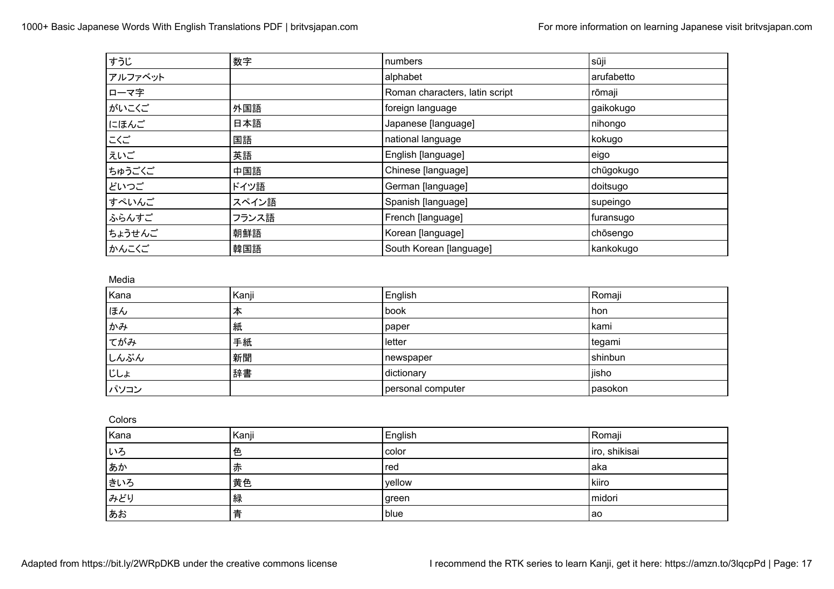| すうじ     | 数字    | numbers                        | sūji       |
|---------|-------|--------------------------------|------------|
| アルファベット |       | alphabet                       | arufabetto |
| ローマ字    |       | Roman characters, latin script | rōmaji     |
| がいこくご   | 外国語   | foreign language               | gaikokugo  |
| にほんご    | 日本語   | Japanese [language]            | nihongo    |
| こくご     | 国語    | national language              | kokugo     |
| えいご     | 英語    | English [language]             | eigo       |
| ちゅうごくご  | 中国語   | Chinese [language]             | chūgokugo  |
| どいつご    | ドイツ語  | German [language]              | doitsugo   |
| すぺいんご   | スペイン語 | Spanish [language]             | supeingo   |
| ふらんすご   | フランス語 | French [language]              | furansugo  |
| ちょうせんご  | 朝鮮語   | Korean [language]              | chōsengo   |
| かんこくご   | 韓国語   | South Korean [language]        | kankokugo  |

Media

| Kana | Kanji | English           | Romaji  |
|------|-------|-------------------|---------|
| ほん   | 本     | book              | hon     |
| かみ   | 紙     | paper             | kami    |
| てがみ  | 手紙    | letter            | tegami  |
| しんぶん | 新聞    | newspaper         | shinbun |
| じしょ  | 辞書    | dictionary        | iisho   |
| パソコン |       | personal computer | pasokon |

Colors

| Kana | Kanji | English | Romaji        |
|------|-------|---------|---------------|
| いろ   | 色     | color   | iro, shikisai |
| あか   | 赤     | red     | laka          |
| きいろ  | 黄色    | yellow  | kiiro         |
| みどり  | 緑     | green   | midori        |
| ∤ぁぉ  |       | blue    | l ao          |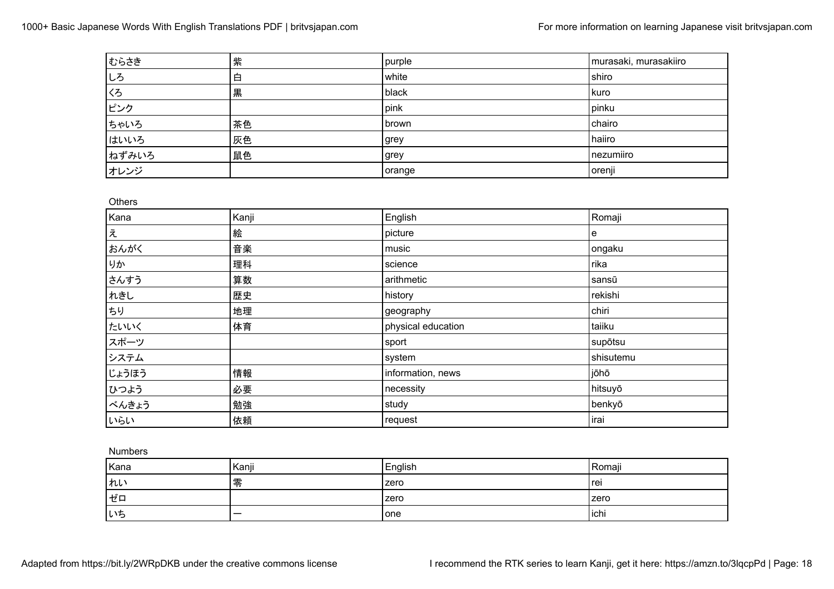| おらさき  | 紫  | purple | murasaki, murasakiiro |
|-------|----|--------|-----------------------|
| しろ    | 白  | white  | shiro                 |
| くろ    | 黒  | black  | l kuro                |
| ピンク   |    | pink   | pinku                 |
| ちゃいろ  | 茶色 | brown  | chairo                |
| はいいろ  | 灰色 | grey   | haiiro                |
| ねずみいろ | 鼠色 | grey   | nezumiiro             |
| オレンジ  |    | orange | orenji                |

**Others** 

| Kana  | Kanji | English            | Romaji    |
|-------|-------|--------------------|-----------|
| え     | 絵     | picture            | e         |
| おんがく  | 音楽    | music              | ongaku    |
| りか    | 理科    | science            | rika      |
| さんすう  | 算数    | arithmetic         | sansū     |
| れきし   | 歴史    | history            | rekishi   |
| ちり    | 地理    | geography          | chiri     |
| たいいく  | 体育    | physical education | taiiku    |
| スポーツ  |       | sport              | supōtsu   |
| システム  |       | system             | shisutemu |
| じょうほう | 情報    | information, news  | jōhō      |
| ひつよう  | 必要    | necessity          | hitsuyō   |
| べんきょう | 勉強    | study              | benkyō    |
| いらい   | 依頼    | request            | irai      |

Numbers

| Kana | Kanji | English     | Romaji |
|------|-------|-------------|--------|
| れい   | 零     | zero        | l rei  |
| ╹ゼロ  |       | zero        | zero   |
| いち   | _     | <b>lone</b> | ichi   |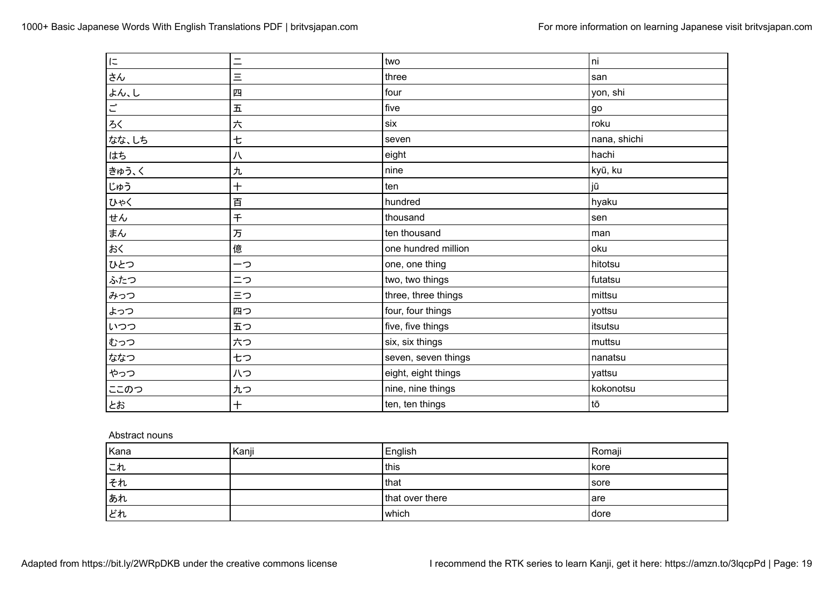| $\overline{\phantom{a}}$   | $=$   | two                 | ni           |
|----------------------------|-------|---------------------|--------------|
| さん                         | Ξ     | three               | san          |
| よん、し                       | 四     | four                | yon, shi     |
| $\vec{\mathop{\sqsubset}}$ | 五     | five                | go           |
| ろく                         | 六     | six                 | roku         |
| なな、しち                      | 七     | seven               | nana, shichi |
| はち                         | 八     | eight               | hachi        |
| きゅう、く                      | 九     | nine                | kyū, ku      |
| じゅう                        | $\pm$ | ten                 | jū           |
| ひゃく                        | 百     | hundred             | hyaku        |
| せん                         | 千     | thousand            | sen          |
| まん                         | 万     | ten thousand        | man          |
| おく                         | 億     | one hundred million | oku          |
| ひとつ                        | ーつ    | one, one thing      | hitotsu      |
| ふたつ                        | ニつ    | two, two things     | futatsu      |
| みっつ                        | 三つ    | three, three things | mittsu       |
| よっつ                        | 四つ    | four, four things   | yottsu       |
| いつつ                        | 五つ    | five, five things   | itsutsu      |
| むっつ                        | 六つ    | six, six things     | muttsu       |
| ななつ                        | 七つ    | seven, seven things | nanatsu      |
| やっつ                        | 八つ    | eight, eight things | yattsu       |
| ここのつ                       | 九つ    | nine, nine things   | kokonotsu    |
| とお                         | $+$   | ten, ten things     | tō           |

#### Abstract nouns

| Kana | Kanji | English         | Romaji |
|------|-------|-----------------|--------|
| これ   |       | this            | l kore |
| それ   |       | that            | sore   |
| あれ   |       | that over there | are    |
| どれ   |       | which           | dore   |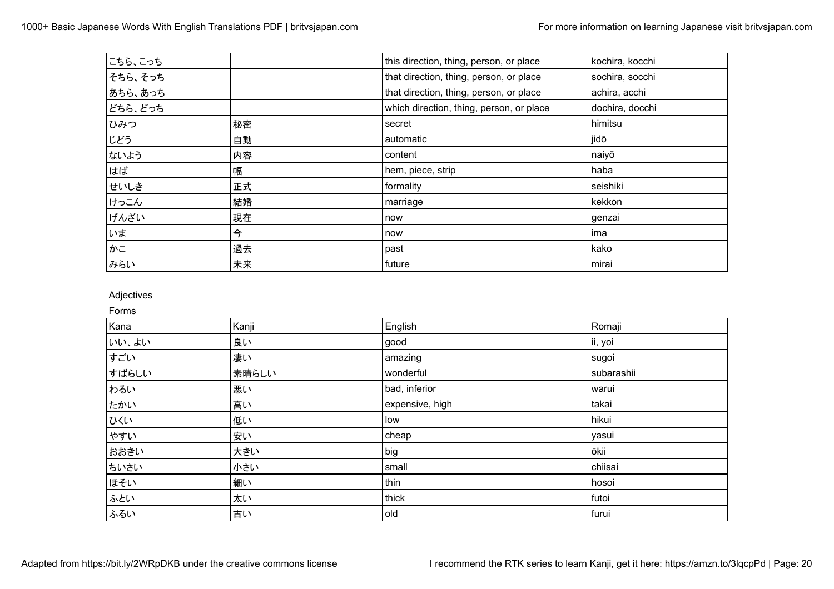| こちら、こっち |    | this direction, thing, person, or place  | kochira, kocchi |
|---------|----|------------------------------------------|-----------------|
| そちら、そっち |    | that direction, thing, person, or place  | sochira, socchi |
| あちら、あっち |    | that direction, thing, person, or place  | achira, acchi   |
| どちら、どっち |    | which direction, thing, person, or place | dochira, docchi |
| ひみつ     | 秘密 | secret                                   | himitsu         |
| じどう     | 自動 | automatic                                | jidō            |
| ないよう    | 内容 | content                                  | naiyō           |
| はば      | 幅  | hem, piece, strip                        | haba            |
| せいしき    | 正式 | formality                                | seishiki        |
| けっこん    | 結婚 | marriage                                 | kekkon          |
| げんざい    | 現在 | now                                      | genzai          |
| いま      | 今  | now                                      | l ima           |
| かこ      | 過去 | past                                     | kako            |
| みらい     | 未来 | future                                   | mirai           |

## Adjectives

Forms

| Kana  | Kanji | English         | Romaji     |
|-------|-------|-----------------|------------|
| いい、よい | 良い    | good            | ii, yoi    |
| すごい   | 凄い    | amazing         | sugoi      |
| すばらしい | 素晴らしい | wonderful       | subarashii |
| わるい   | 悪い    | bad, inferior   | warui      |
| たかい   | 高い    | expensive, high | takai      |
| ひくい   | 低い    | low             | hikui      |
| やすい   | 安い    | cheap           | yasui      |
| おおきい  | 大きい   | big             | ōkii       |
| ちいさい  | 小さい   | small           | chiisai    |
| ほそい   | 細い    | thin            | hosoi      |
| ふとい   | 太い    | thick           | futoi      |
| ふるい   | 古い    | old             | furui      |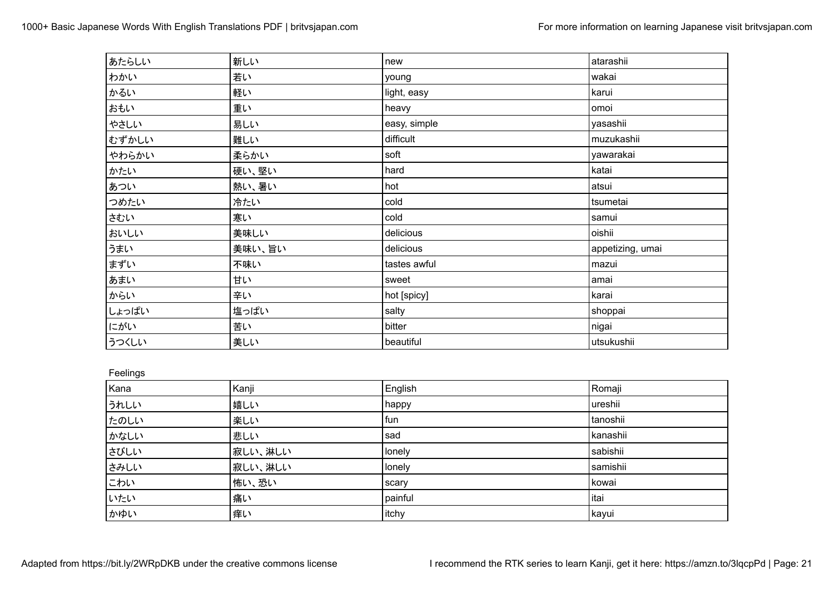| あたらしい | 新しい    | new          | atarashii        |
|-------|--------|--------------|------------------|
| わかい   | 若い     | young        | wakai            |
| かるい   | 軽い     | light, easy  | karui            |
| おもい   | 重い     | heavy        | omoi             |
| やさしい  | 易しい    | easy, simple | yasashii         |
| むずかしい | 難しい    | difficult    | muzukashii       |
| やわらかい | 柔らかい   | soft         | yawarakai        |
| かたい   | 硬い、堅い  | hard         | katai            |
| あつい   | 熱い、暑い  | hot          | atsui            |
| つめたい  | 冷たい    | cold         | tsumetai         |
| さむい   | 寒い     | cold         | samui            |
| おいしい  | 美味しい   | delicious    | oishii           |
| うまい   | 美味い、旨い | delicious    | appetizing, umai |
| まずい   | 不味い    | tastes awful | mazui            |
| あまい   | 甘い     | sweet        | amai             |
| からい   | 辛い     | hot [spicy]  | karai            |
| しょっぱい | 塩っぱい   | salty        | shoppai          |
| にがい   | 苦い     | bitter       | nigai            |
| うつくしい | 美しい    | beautiful    | utsukushii       |

## Feelings

| Kana | Kanji   | English | Romaji   |
|------|---------|---------|----------|
| うれしい | 嬉しい     | happy   | ureshii  |
| たのしい | 楽しい     | l fun   | tanoshii |
| かなしい | 悲しい     | sad     | kanashii |
| さびしい | 寂しい、淋しい | lonely  | sabishii |
| さみしい | 寂しい、淋しい | lonely  | samishii |
| こわい  | 怖い、恐い   | scary   | kowai    |
| いたい  | 痛い      | painful | litai    |
| かゆい  | 痒い      | itchy   | kayui    |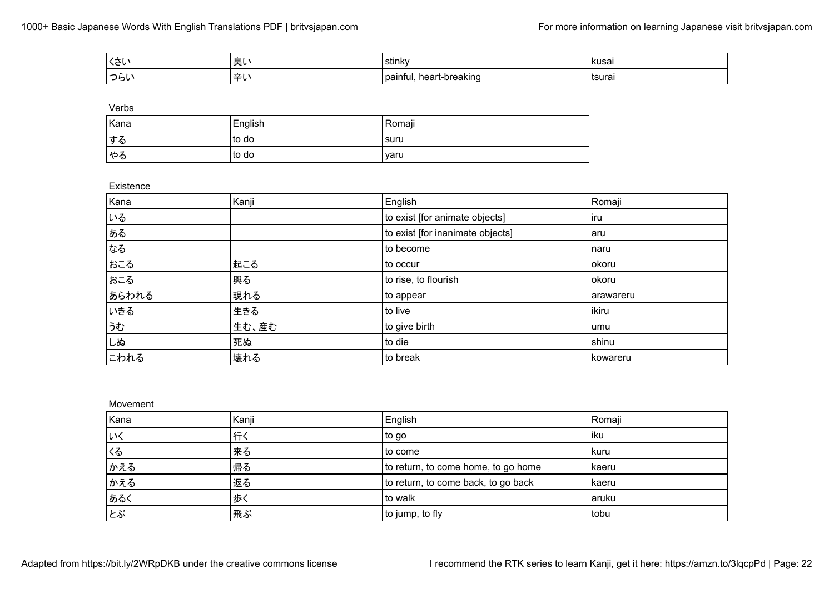| $\lambda +$<br>いご | _ | $\cdot$ .<br>stink\                   | Ikusa.  |
|-------------------|---|---------------------------------------|---------|
| 'つらし              |   | preaking<br><b>IPAI</b><br>วลเทt<br>. | l tsura |

| <b>STATE</b><br>×<br>۰,<br>٧<br>۰. |
|------------------------------------|
|------------------------------------|

| Kana | English | Romaji |
|------|---------|--------|
| する   | to do   | suru   |
| やる   | to do   | varu   |

#### Existence

| Kana  | Kanji | English                          | Romaji     |
|-------|-------|----------------------------------|------------|
| いる    |       | to exist [for animate objects]   | l iru      |
| ある    |       | to exist [for inanimate objects] | aru        |
| なる    |       | to become                        | naru       |
| おこる   | 起こる   | to occur                         | okoru      |
| おこる   | 興る    | to rise, to flourish             | okoru      |
| あらわれる | 現れる   | to appear                        | arawareru  |
| いきる   | 生きる   | to live                          | ikiru      |
| うむ    | 生む、産む | to give birth                    | umu        |
| しぬ    | 死ぬ    | to die                           | shinu      |
| こわれる  | 壊れる   | to break                         | l kowareru |

Movement

| Kana | Kanji | English                             | Romaji |
|------|-------|-------------------------------------|--------|
| いく   | 行く    | to go                               | iku    |
| くる   | 来る    | to come                             | l kuru |
| かえる  | 帰る    | to return, to come home, to go home | kaeru  |
| かえる  | 返る    | to return, to come back, to go back | kaeru  |
| あるく  | 歩く    | to walk                             | aruku  |
| とぶ   | 飛ぶ    | to jump, to fly                     | tobu   |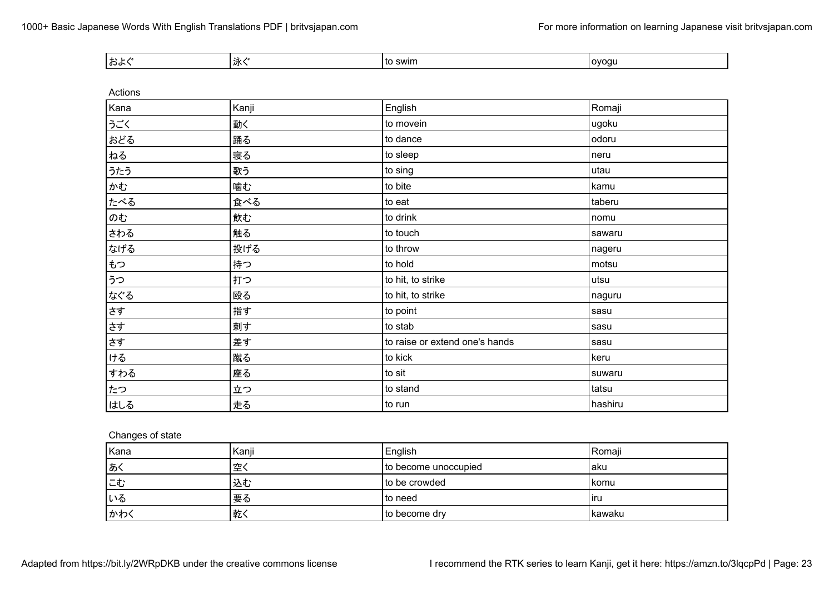| -∸<br>.<br>አማ<br>汃 | <b>SWIN</b><br>. to | ι ονοαι |
|--------------------|---------------------|---------|
|--------------------|---------------------|---------|

| Actions |       |                                |         |
|---------|-------|--------------------------------|---------|
| Kana    | Kanji | English                        | Romaji  |
| うごく     | 動く    | to movein                      | ugoku   |
| おどる     | 踊る    | to dance                       | odoru   |
| ねる      | 寝る    | to sleep                       | neru    |
| うたう     | 歌う    | to sing                        | utau    |
| かむ      | 噛む    | to bite                        | kamu    |
| たべる     | 食べる   | to eat                         | taberu  |
| のむ      | 飲む    | to drink                       | nomu    |
| さわる     | 触る    | to touch                       | sawaru  |
| なげる     | 投げる   | to throw                       | nageru  |
| もつ      | 持つ    | to hold                        | motsu   |
| うつ      | 打つ    | to hit, to strike              | utsu    |
| なぐる     | 殴る    | to hit, to strike              | naguru  |
| さす      | 指す    | to point                       | sasu    |
| さす      | 刺す    | to stab                        | sasu    |
| さす      | 差す    | to raise or extend one's hands | sasu    |
| ける      | 蹴る    | to kick                        | keru    |
| すわる     | 座る    | to sit                         | suwaru  |
| たつ      | 立つ    | to stand                       | tatsu   |
| はしる     | 走る    | to run                         | hashiru |

# Changes of state

| Kana | Kanji | English              | Romaii |
|------|-------|----------------------|--------|
| あく   | 空く    | to become unoccupied | ∣aku   |
| にむ   | 込む    | to be crowded        | komu   |
| いる   | 要る    | I to need            | ıru    |
| かわく  | 乾く    | I to become drv      | kawaku |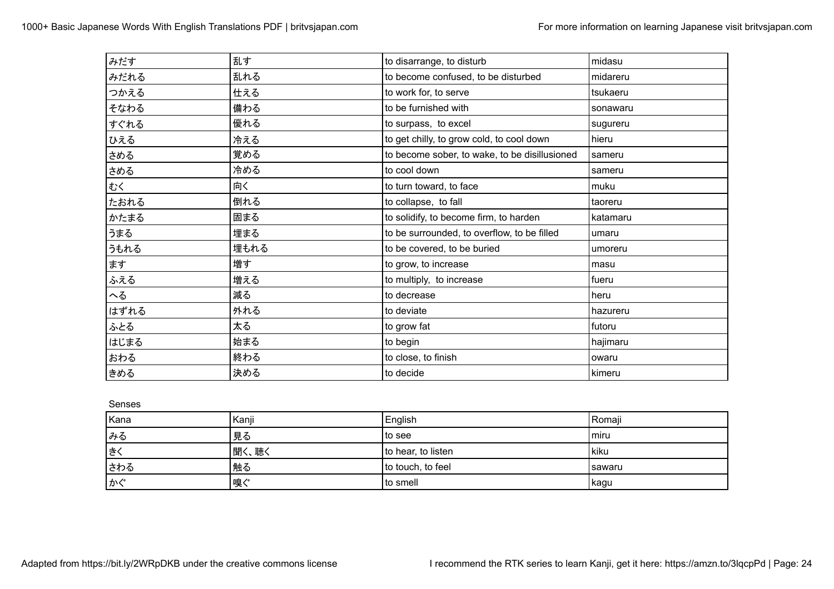| みだす  | 乱す   | to disarrange, to disturb                     | midasu   |
|------|------|-----------------------------------------------|----------|
| みだれる | 乱れる  | to become confused, to be disturbed           | midareru |
| つかえる | 仕える  | to work for, to serve                         | tsukaeru |
| そなわる | 備わる  | to be furnished with                          | sonawaru |
| すぐれる | 優れる  | to surpass, to excel                          | sugureru |
| ひえる  | 冷える  | to get chilly, to grow cold, to cool down     | hieru    |
| さめる  | 覚める  | to become sober, to wake, to be disillusioned | sameru   |
| さめる  | 冷める  | to cool down                                  | sameru   |
| むく   | 向く   | to turn toward, to face                       | muku     |
| たおれる | 倒れる  | to collapse, to fall                          | taoreru  |
| かたまる | 固まる  | to solidify, to become firm, to harden        | katamaru |
| うまる  | 埋まる  | to be surrounded, to overflow, to be filled   | umaru    |
| うもれる | 埋もれる | to be covered, to be buried                   | umoreru  |
| ます   | 増す   | to grow, to increase                          | masu     |
| ふえる  | 増える  | to multiply, to increase                      | fueru    |
| へる   | 減る   | to decrease                                   | heru     |
| はずれる | 外れる  | to deviate                                    | hazureru |
| ふとる  | 太る   | to grow fat                                   | futoru   |
| はじまる | 始まる  | to begin                                      | hajimaru |
| おわる  | 終わる  | to close, to finish                           | owaru    |
| きめる  | 決める  | to decide                                     | kimeru   |

Senses

| Kana | Kanji | English            | Romaji   |
|------|-------|--------------------|----------|
| みる   | 見る    | to see             | l miru   |
| きく   | 聞く、聴く | to hear, to listen | kiku     |
| さわる  | 触る    | to touch, to feel  | l sawaru |
| かぐ   | 嗅ぐ    | to smell           | kagu     |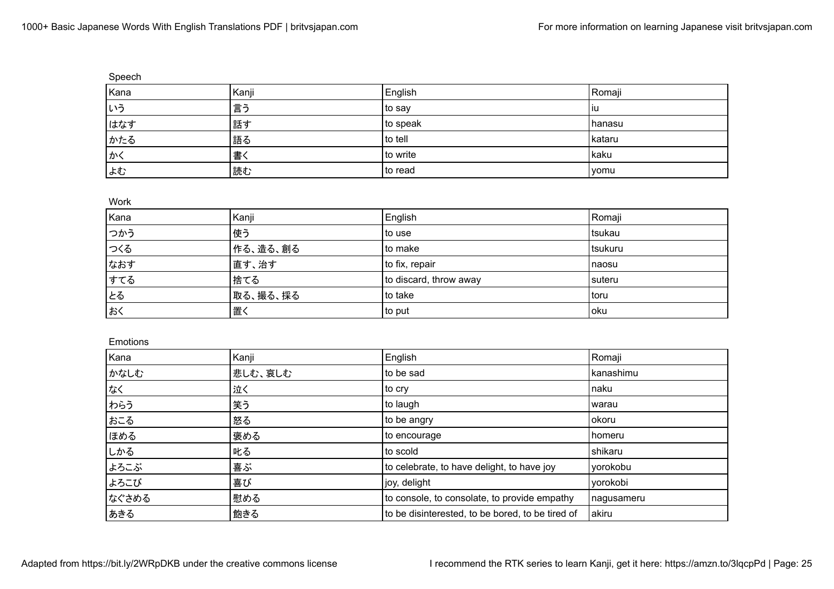| Speech |       |          |        |
|--------|-------|----------|--------|
| Kana   | Kanji | English  | Romaji |
| しいう    | 言う    | to say   | l iu   |
| はなす    | 話す    | to speak | hanasu |
| かたる    | 語る    | to tell  | kataru |
| かく     | 書く    | to write | kaku   |
| よむ     | 読む    | to read  | yomu   |

Work

| Kana | Kanji    | English                | Romaji  |
|------|----------|------------------------|---------|
| つかう  | 使う       | ∣to use                | tsukau  |
| つくる  | 作る、造る、創る | to make                | tsukuru |
| なおす  | 直す、治す    | to fix, repair         | naosu   |
| すてる  | 捨てる      | to discard, throw away | suteru  |
| とる   | 取る、撮る、採る | l to take              | l toru  |
| おく   | '置く      | to put                 | oku     |

## Emotions

| Kana  | Kanji   | English                                          | Romaji     |
|-------|---------|--------------------------------------------------|------------|
| かなしむ  | 悲しむ、哀しむ | to be sad                                        | kanashimu  |
| なく    | 泣く      | to cry                                           | naku       |
| わらう   | 笑う      | to laugh                                         | warau      |
| おこる   | 怒る      | to be angry                                      | okoru      |
| ほめる   | 褒める     | to encourage                                     | homeru     |
| しかる   | 叱る      | to scold                                         | shikaru    |
| よろこぶ  | 喜ぶ      | to celebrate, to have delight, to have joy       | yorokobu   |
| よろこび  | 喜び      | joy, delight                                     | yorokobi   |
| なぐさめる | 慰める     | to console, to consolate, to provide empathy     | nagusameru |
| あきる   | 飽きる     | to be disinterested, to be bored, to be tired of | akiru      |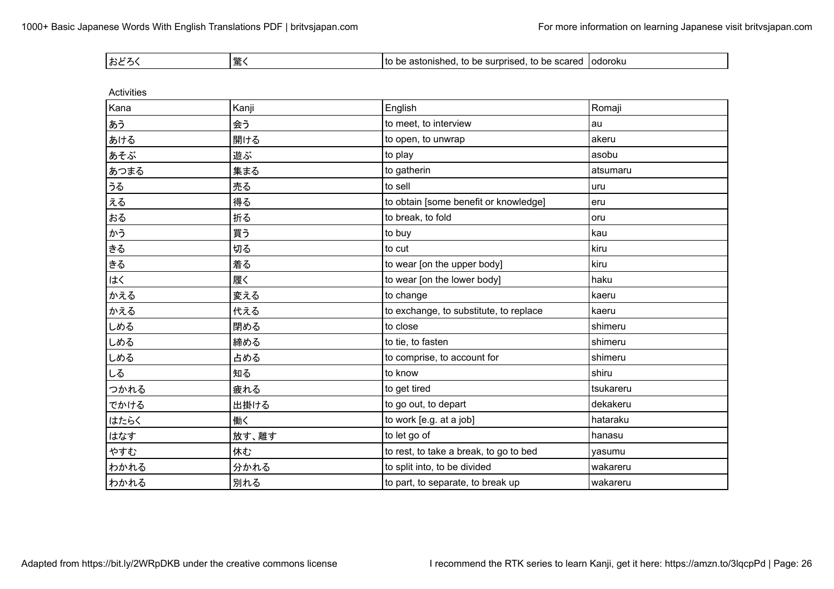| . +<br>' おと |  | <br>surb<br>$\sim$<br>יי<br>™iseu.<br>IJĦ<br>10 DE<br>…… il l'<br>. SUCIEU<br>. | odoroku |
|-------------|--|---------------------------------------------------------------------------------|---------|
|-------------|--|---------------------------------------------------------------------------------|---------|

| <b>Activities</b> |       |                                        |           |
|-------------------|-------|----------------------------------------|-----------|
| Kana              | Kanji | English                                | Romaji    |
| あう                | 会う    | to meet, to interview                  | au        |
| あける               | 開ける   | to open, to unwrap                     | akeru     |
| あそぶ               | 遊ぶ    | to play                                | asobu     |
| あつまる              | 集まる   | to gatherin                            | atsumaru  |
| うる                | 売る    | to sell                                | uru       |
| える                | 得る    | to obtain [some benefit or knowledge]  | eru       |
| おる                | 折る    | to break, to fold                      | oru       |
| かう                | 買う    | to buy                                 | kau       |
| きる                | 切る    | to cut                                 | kiru      |
| きる                | 着る    | to wear [on the upper body]            | kiru      |
| はく                | 履く    | to wear [on the lower body]            | haku      |
| かえる               | 変える   | to change                              | kaeru     |
| かえる               | 代える   | to exchange, to substitute, to replace | kaeru     |
| しめる               | 閉める   | to close                               | shimeru   |
| しめる               | 締める   | to tie, to fasten                      | shimeru   |
| しめる               | 占める   | to comprise, to account for            | shimeru   |
| しる                | 知る    | to know                                | shiru     |
| つかれる              | 疲れる   | to get tired                           | tsukareru |
| でかける              | 出掛ける  | to go out, to depart                   | dekakeru  |
| はたらく              | 働く    | to work [e.g. at a job]                | hataraku  |
| はなす               | 放す、離す | to let go of                           | hanasu    |
| やすむ               | 休む    | to rest, to take a break, to go to bed | yasumu    |
| わかれる              | 分かれる  | to split into, to be divided           | wakareru  |
| わかれる              | 別れる   | to part, to separate, to break up      | wakareru  |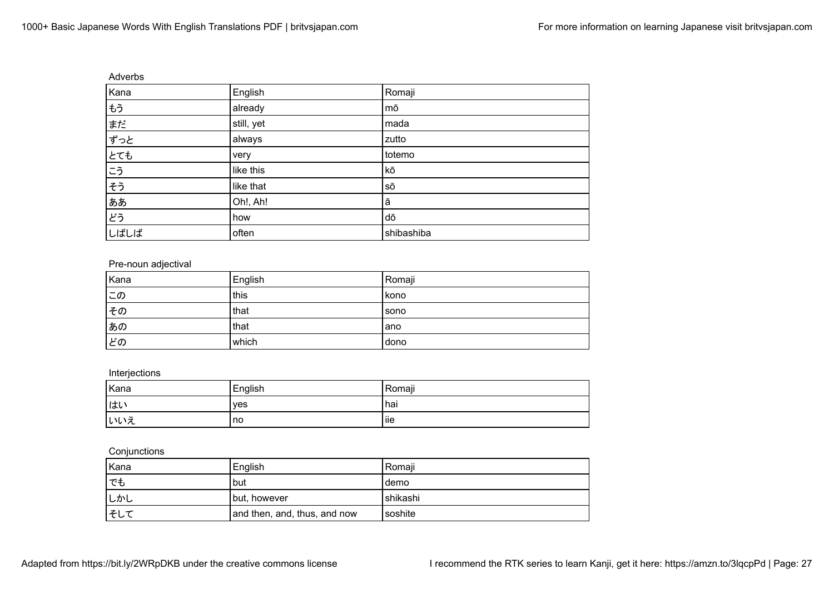| Adverbs |            |            |  |
|---------|------------|------------|--|
| Kana    | English    | Romaji     |  |
| もう      | already    | mō         |  |
| まだ      | still, yet | mada       |  |
| ずっと     | always     | zutto      |  |
| E       | very       | totemo     |  |
| こう      | like this  | kō         |  |
| そう      | like that  | SŌ         |  |
| ああ      | Oh!, Ah!   | ā          |  |
| どう      | how        | dō         |  |
| しばしば    | often      | shibashiba |  |

## Pre-noun adjectival

| Kana | English | Romaji |
|------|---------|--------|
| この   | this    | kono   |
| その   | that    | sono   |
| あの   | that    | lano   |
| ピの   | which   | dono   |

## Interjections

| Kana | English | Romaji |
|------|---------|--------|
| はい   | ves     | hai    |
| いいえ  | no      | liie   |

## **Conjunctions**

| Kana | English                      | Romaji   |
|------|------------------------------|----------|
| 'でも  | but                          | demo     |
| しかし  | but, however                 | shikashi |
| そして  | and then, and, thus, and now | soshite  |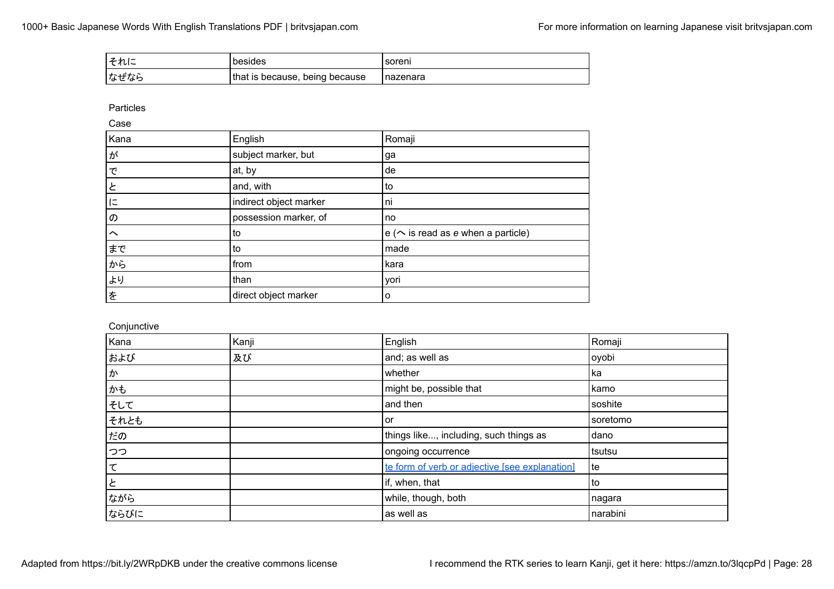| それに  | besides                        | soreni     |
|------|--------------------------------|------------|
| なぜなら | that is because, being because | I nazenara |

Particles

Case

| Kana   | English                | Romaji                                        |
|--------|------------------------|-----------------------------------------------|
| ゚゚ゕ゙   | subject marker, but    | ga                                            |
| で      | at, by                 | de                                            |
| と      | and, with              | to                                            |
| I=     | indirect object marker | ni                                            |
| の      | possession marker, of  | no                                            |
| $\sim$ | to                     | $e \left( \sim$ is read as e when a particle) |
| まで     | to                     | made                                          |
| から     | from                   | kara                                          |
| より     | than                   | yori                                          |
| を      | direct object marker   | o                                             |

**Conjunctive** 

| Kana | Kanji | English                                        | Romaji   |
|------|-------|------------------------------------------------|----------|
| および  | 及び    | and; as well as                                | oyobi    |
| か    |       | whether                                        | l ka     |
| かも   |       | might be, possible that                        | kamo     |
| そして  |       | and then                                       | soshite  |
| それとも |       | or                                             | soretomo |
| だの   |       | things like, including, such things as         | dano     |
| つつ   |       | ongoing occurrence                             | tsutsu   |
| て    |       | te form of verb or adjective [see explanation] | te       |
| と    |       | if, when, that                                 | l to     |
| ながら  |       | while, though, both                            | nagara   |
| ならびに |       | as well as                                     | narabini |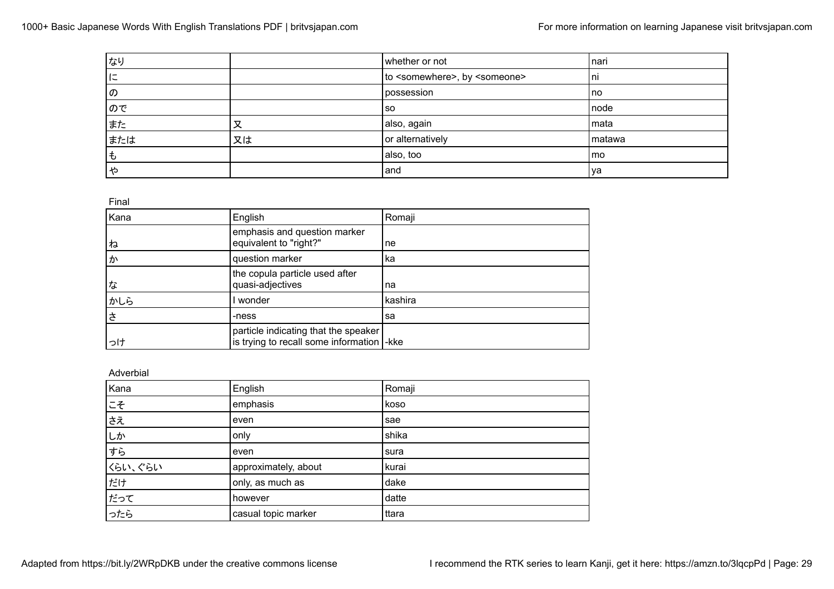| なり  |    | whether or not                                     | nari   |
|-----|----|----------------------------------------------------|--------|
| に   |    | to <somewhere>, by <someone></someone></somewhere> | l ni   |
| の   |    | possession                                         | l no   |
| ので  |    | <b>SO</b>                                          | node   |
| また  | 又  | also, again                                        | mata   |
| または | 又は | or alternatively                                   | matawa |
| ∣も  |    | also, too                                          | mo     |
|     |    | and                                                | va     |

Final

| Kana | English                                                                             | Romaji  |
|------|-------------------------------------------------------------------------------------|---------|
| ね    | emphasis and question marker<br>equivalent to "right?"                              | ne      |
| ゕ    | question marker                                                                     | ka      |
| な    | the copula particle used after<br>quasi-adjectives                                  | na      |
| かしら  | wonder                                                                              | kashira |
| さ    | -ness                                                                               | sa      |
| っけ   | particle indicating that the speaker<br>is trying to recall some information  - kke |         |

#### Adverbial

| Kana    | English              | Romaji |
|---------|----------------------|--------|
| こそ      | emphasis             | koso   |
|         | even                 | sae    |
| しか      | only                 | shika  |
| すら      | even                 | sura   |
| くらい、ぐらい | approximately, about | kurai  |
| だけ      | only, as much as     | dake   |
| だって     | however              | datte  |
| ったら     | casual topic marker  | ttara  |